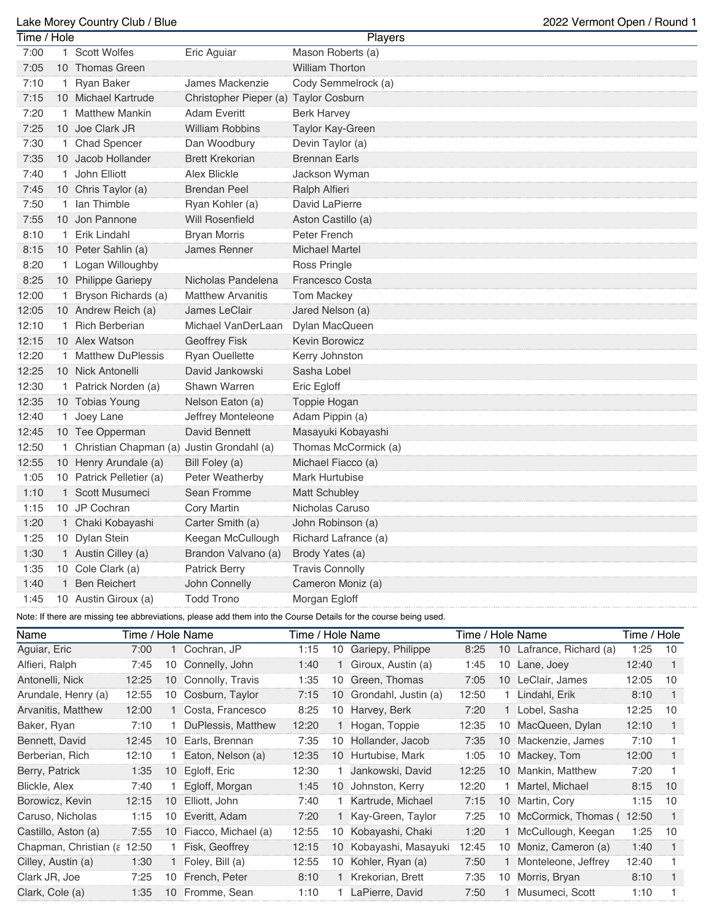## Lake Morey Country Club / Blue 2022 Vermont Open / Round 1

| Time / Hole |              |                                             |                                       | <b>Players</b>                                                                                                  |
|-------------|--------------|---------------------------------------------|---------------------------------------|-----------------------------------------------------------------------------------------------------------------|
| 7:00        |              | 1 Scott Wolfes                              | Eric Aguiar                           | Mason Roberts (a)                                                                                               |
| 7:05        |              | 10 Thomas Green                             |                                       | <b>William Thorton</b>                                                                                          |
| 7:10        |              | 1 Ryan Baker                                | James Mackenzie                       | Cody Semmelrock (a)                                                                                             |
| 7:15        |              | 10 Michael Kartrude                         | Christopher Pieper (a) Taylor Cosburn |                                                                                                                 |
| 7:20        | $\mathbf{1}$ | <b>Matthew Mankin</b>                       | <b>Adam Everitt</b>                   | <b>Berk Harvey</b>                                                                                              |
| 7:25        |              | 10 Joe Clark JR                             | <b>William Robbins</b>                | Taylor Kay-Green                                                                                                |
| 7:30        |              | 1 Chad Spencer                              | Dan Woodbury                          | Devin Taylor (a)                                                                                                |
| 7:35        |              | 10 Jacob Hollander                          | <b>Brett Krekorian</b>                | <b>Brennan Earls</b>                                                                                            |
| 7:40        |              | 1 John Elliott                              | <b>Alex Blickle</b>                   | Jackson Wyman                                                                                                   |
| 7:45        |              | 10 Chris Taylor (a)                         | <b>Brendan Peel</b>                   | Ralph Alfieri                                                                                                   |
| 7:50        |              | 1 Ian Thimble                               | Ryan Kohler (a)                       | David LaPierre                                                                                                  |
| 7:55        |              | 10 Jon Pannone                              | <b>Will Rosenfield</b>                | Aston Castillo (a)                                                                                              |
| 8:10        |              | 1 Erik Lindahl                              | <b>Bryan Morris</b>                   | Peter French                                                                                                    |
| 8:15        |              | 10 Peter Sahlin (a)                         | James Renner                          | <b>Michael Martel</b>                                                                                           |
| 8:20        |              | 1 Logan Willoughby                          |                                       | Ross Pringle                                                                                                    |
| 8:25        |              | 10 Philippe Gariepy                         | Nicholas Pandelena                    | <b>Francesco Costa</b>                                                                                          |
| 12:00       |              | 1 Bryson Richards (a)                       | <b>Matthew Arvanitis</b>              | <b>Tom Mackey</b>                                                                                               |
| 12:05       |              | 10 Andrew Reich (a)                         | James LeClair                         | Jared Nelson (a)                                                                                                |
| 12:10       |              | 1 Rich Berberian                            | Michael VanDerLaan                    | Dylan MacQueen                                                                                                  |
| 12:15       |              | 10 Alex Watson                              | <b>Geoffrey Fisk</b>                  | <b>Kevin Borowicz</b>                                                                                           |
| 12:20       |              | 1 Matthew DuPlessis                         | <b>Ryan Ouellette</b>                 | Kerry Johnston                                                                                                  |
| 12:25       |              | 10 Nick Antonelli                           | David Jankowski                       | Sasha Lobel                                                                                                     |
| 12:30       |              | 1 Patrick Norden (a)                        | Shawn Warren                          | Eric Egloff                                                                                                     |
| 12:35       |              | 10 Tobias Young                             | Nelson Eaton (a)                      | Toppie Hogan                                                                                                    |
| 12:40       |              | 1 Joey Lane                                 | Jeffrey Monteleone                    | Adam Pippin (a)                                                                                                 |
| 12:45       |              | 10 Tee Opperman                             | David Bennett                         | Masayuki Kobayashi                                                                                              |
| 12:50       |              | 1 Christian Chapman (a) Justin Grondahl (a) |                                       | Thomas McCormick (a)                                                                                            |
| 12:55       |              | 10 Henry Arundale (a)                       | Bill Foley (a)                        | Michael Fiacco (a)                                                                                              |
| 1:05        |              | 10 Patrick Pelletier (a)                    | Peter Weatherby                       | <b>Mark Hurtubise</b>                                                                                           |
| 1:10        |              | 1 Scott Musumeci                            | Sean Fromme                           | <b>Matt Schubley</b>                                                                                            |
| 1:15        |              | 10 JP Cochran                               | <b>Cory Martin</b>                    | Nicholas Caruso                                                                                                 |
| 1:20        |              | 1 Chaki Kobayashi                           | Carter Smith (a)                      | John Robinson (a)                                                                                               |
| 1:25        |              | 10 Dylan Stein                              | Keegan McCullough                     | Richard Lafrance (a)                                                                                            |
| 1:30        |              | 1 Austin Cilley (a)                         | Brandon Valvano (a)                   | Brody Yates (a)                                                                                                 |
| 1:35        |              | 10 Cole Clark (a)                           | <b>Patrick Berry</b>                  | <b>Travis Connolly</b>                                                                                          |
| 1:40        |              | 1 Ben Reichert                              | John Connelly                         | Cameron Moniz (a)                                                                                               |
| 1:45        |              | 10 Austin Giroux (a)                        | <b>Todd Trono</b>                     | Morgan Egloff                                                                                                   |
|             |              |                                             |                                       | Note: If there are missing tee abbreviations, please add them into the Course Details for the course being used |

Note: If there are missing tee abbreviations, please add them into the Course Details for the course being used.

| Name                  | Time / Hole Name |    | Time / Hole Name    |       |    | Time / Hole Name     |       |                 | Time / Hole                 |       |    |
|-----------------------|------------------|----|---------------------|-------|----|----------------------|-------|-----------------|-----------------------------|-------|----|
| Aguiar, Eric          | 7:00             |    | Cochran, JP         | 1:15  | 10 | Gariepy, Philippe    | 8:25  | 10 <sup>°</sup> | Lafrance, Richard (a)       | 1:25  | 10 |
| Alfieri, Ralph        | 7:45             | 10 | Connelly, John      | 1:40  |    | Giroux, Austin (a)   | 1:45  | 10              | Lane, Joey                  | 12:40 |    |
| Antonelli, Nick       | 12:25            | 10 | Connolly, Travis    | 1:35  | 10 | Green, Thomas        | 7:05  | $10-10$         | LeClair, James              | 12:05 | 10 |
| Arundale, Henry (a)   | 12:55            | 10 | Cosburn, Taylor     | 7:15  | 10 | Grondahl, Justin (a) | 12:50 |                 | Lindahl, Erik               | 8:10  | -1 |
| Arvanitis, Matthew    | 12:00            |    | Costa, Francesco    | 8:25  | 10 | Harvey, Berk         | 7:20  |                 | Lobel, Sasha                | 12:25 | 10 |
| Baker, Ryan           | 7:10             |    | DuPlessis, Matthew  | 12:20 |    | Hogan, Toppie        | 12:35 | 10              | MacQueen, Dylan             | 12:10 | 1  |
| Bennett, David        | 12:45            | 10 | Earls, Brennan      | 7:35  | 10 | Hollander, Jacob     | 7:35  | 10 <sup>1</sup> | Mackenzie, James            | 7:10  |    |
| Berberian, Rich       | 12:10            |    | Eaton, Nelson (a)   | 12:35 | 10 | Hurtubise, Mark      | 1:05  |                 | 10 Mackey, Tom              | 12:00 |    |
| Berry, Patrick        | 1:35             | 10 | Egloff, Eric        | 12:30 |    | Jankowski, David     | 12:25 |                 | 10 Mankin, Matthew          | 7:20  |    |
| Blickle, Alex         | 7:40             |    | Egloff, Morgan      | 1:45  | 10 | Johnston, Kerry      | 12:20 |                 | Martel, Michael             | 8:15  | 10 |
| Borowicz, Kevin       | 12:15            | 10 | Elliott, John       | 7:40  |    | Kartrude, Michael    | 7:15  |                 | 10 Martin, Cory             | 1:15  | 10 |
| Caruso, Nicholas      | 1:15             | 10 | Everitt, Adam       | 7:20  |    | Kay-Green, Taylor    | 7:25  |                 | 10 McCormick, Thomas (12:50 |       |    |
| Castillo, Aston (a)   | 7:55             | 10 | Fiacco, Michael (a) | 12:55 | 10 | Kobayashi, Chaki     | 1:20  |                 | McCullough, Keegan          | 1:25  | 10 |
| Chapman, Christian (a | 12:50            |    | Fisk, Geoffrey      | 12:15 | 10 | Kobayashi, Masayuki  | 12:45 | 10              | Moniz, Cameron (a)          | 1:40  | -1 |
| Cilley, Austin (a)    | 1:30             |    | Foley, Bill (a)     | 12:55 | 10 | Kohler, Ryan (a)     | 7:50  |                 | Monteleone, Jeffrey         | 12:40 |    |
| Clark JR, Joe         | 7:25             | 10 | French, Peter       | 8:10  |    | Krekorian, Brett     | 7:35  | 10              | Morris, Bryan               | 8:10  |    |
| Clark, Cole (a)       | 1:35             | 10 | Fromme, Sean        | 1:10  |    | LaPierre, David      | 7:50  |                 | Musumeci, Scott             | 1:10  |    |